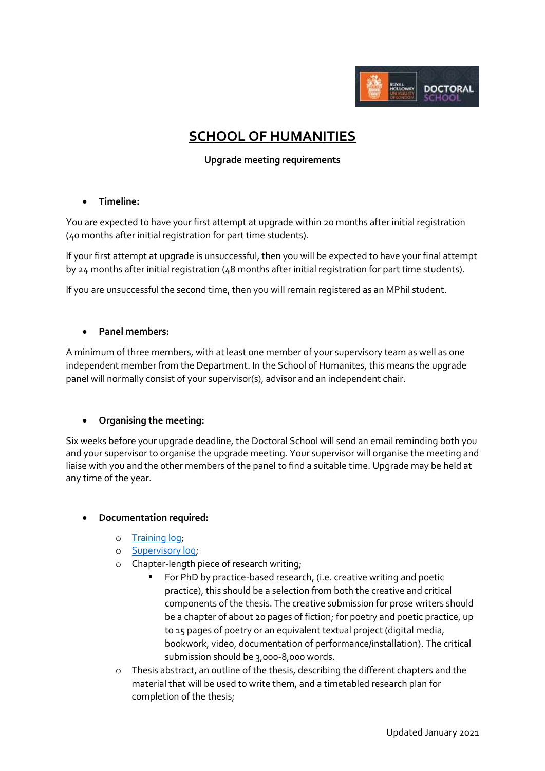

# **SCHOOL OF HUMANITIES**

## **Upgrade meeting requirements**

#### **Timeline:**

You are expected to have your first attempt at upgrade within 20 months after initial registration (40 months after initial registration for part time students).

If your first attempt at upgrade is unsuccessful, then you will be expected to have your final attempt by 24 months after initial registration (48 months after initial registration for part time students).

If you are unsuccessful the second time, then you will remain registered as an MPhil student.

#### **Panel members:**

A minimum of three members, with at least one member of your supervisory team as well as one independent member from the Department. In the School of Humanites, this means the upgrade panel will normally consist of your supervisor(s), advisor and an independent chair.

#### **Organising the meeting:**

Six weeks before your upgrade deadline, the Doctoral School will send an email reminding both you and your supervisor to organise the upgrade meeting. Your supervisor will organise the meeting and liaise with you and the other members of the panel to find a suitable time. Upgrade may be held at any time of the year.

#### **Documentation required:**

- o [Training log;](https://intranet.royalholloway.ac.uk/doctoral-school/assets/docs/doc/new-research-log.docx)
- o [Supervisory log;](https://intranet.royalholloway.ac.uk/doctoral-school/assets/docs/doc/pgr-record-of-supervisor-contacts.docx)
- o Chapter-length piece of research writing;
	- For PhD by practice-based research, (i.e. creative writing and poetic practice), this should be a selection from both the creative and critical components of the thesis. The creative submission for prose writers should be a chapter of about 20 pages of fiction; for poetry and poetic practice, up to 15 pages of poetry or an equivalent textual project (digital media, bookwork, video, documentation of performance/installation). The critical submission should be 3,000-8,000 words.
- $\circ$  Thesis abstract, an outline of the thesis, describing the different chapters and the material that will be used to write them, and a timetabled research plan for completion of the thesis;